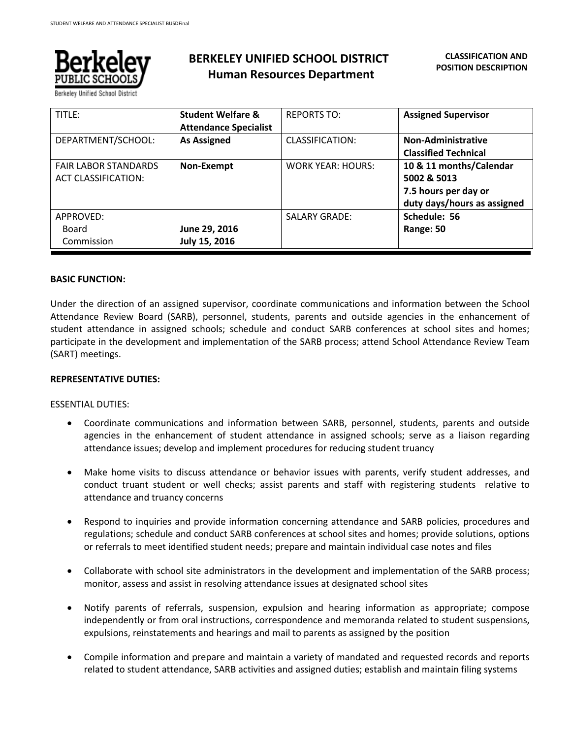

## **BERKELEY UNIFIED SCHOOL DISTRICT Human Resources Department**

| TITLE:                                                    | <b>Student Welfare &amp;</b><br><b>Attendance Specialist</b> | <b>REPORTS TO:</b>       | <b>Assigned Supervisor</b>                                                                    |
|-----------------------------------------------------------|--------------------------------------------------------------|--------------------------|-----------------------------------------------------------------------------------------------|
| DEPARTMENT/SCHOOL:                                        | <b>As Assigned</b>                                           | <b>CLASSIFICATION:</b>   | <b>Non-Administrative</b><br><b>Classified Technical</b>                                      |
| <b>FAIR LABOR STANDARDS</b><br><b>ACT CLASSIFICATION:</b> | Non-Exempt                                                   | <b>WORK YEAR: HOURS:</b> | 10 & 11 months/Calendar<br>5002 & 5013<br>7.5 hours per day or<br>duty days/hours as assigned |
| APPROVED:<br>Board                                        | June 29, 2016                                                | <b>SALARY GRADE:</b>     | Schedule: 56<br>Range: 50                                                                     |
| Commission                                                | July 15, 2016                                                |                          |                                                                                               |

### **BASIC FUNCTION:**

Under the direction of an assigned supervisor, coordinate communications and information between the School Attendance Review Board (SARB), personnel, students, parents and outside agencies in the enhancement of student attendance in assigned schools; schedule and conduct SARB conferences at school sites and homes; participate in the development and implementation of the SARB process; attend School Attendance Review Team (SART) meetings.

### **REPRESENTATIVE DUTIES:**

### ESSENTIAL DUTIES:

- Coordinate communications and information between SARB, personnel, students, parents and outside agencies in the enhancement of student attendance in assigned schools; serve as a liaison regarding attendance issues; develop and implement procedures for reducing student truancy
- Make home visits to discuss attendance or behavior issues with parents, verify student addresses, and conduct truant student or well checks; assist parents and staff with registering students relative to attendance and truancy concerns
- Respond to inquiries and provide information concerning attendance and SARB policies, procedures and regulations; schedule and conduct SARB conferences at school sites and homes; provide solutions, options or referrals to meet identified student needs; prepare and maintain individual case notes and files
- Collaborate with school site administrators in the development and implementation of the SARB process; monitor, assess and assist in resolving attendance issues at designated school sites
- Notify parents of referrals, suspension, expulsion and hearing information as appropriate; compose independently or from oral instructions, correspondence and memoranda related to student suspensions, expulsions, reinstatements and hearings and mail to parents as assigned by the position
- Compile information and prepare and maintain a variety of mandated and requested records and reports related to student attendance, SARB activities and assigned duties; establish and maintain filing systems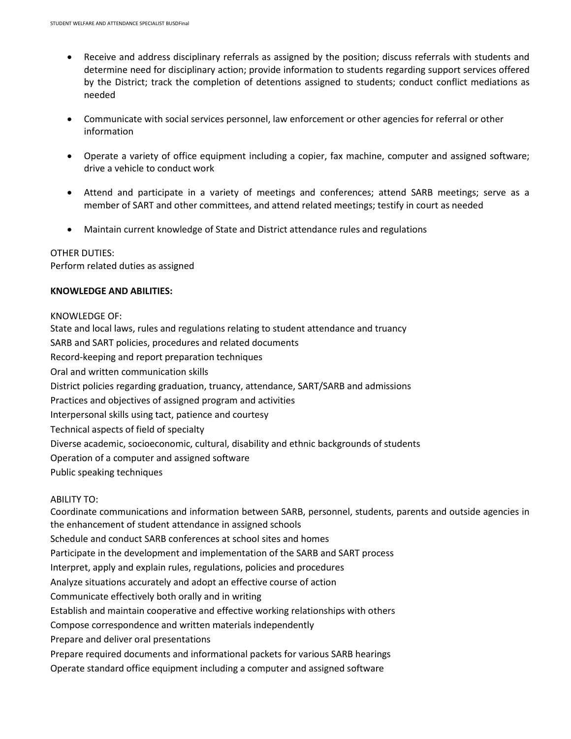- Receive and address disciplinary referrals as assigned by the position; discuss referrals with students and determine need for disciplinary action; provide information to students regarding support services offered by the District; track the completion of detentions assigned to students; conduct conflict mediations as needed
- Communicate with social services personnel, law enforcement or other agencies for referral or other information
- Operate a variety of office equipment including a copier, fax machine, computer and assigned software; drive a vehicle to conduct work
- Attend and participate in a variety of meetings and conferences; attend SARB meetings; serve as a member of SART and other committees, and attend related meetings; testify in court as needed
- Maintain current knowledge of State and District attendance rules and regulations

### OTHER DUTIES: Perform related duties as assigned

# **KNOWLEDGE AND ABILITIES:**

### KNOWLEDGE OF:

State and local laws, rules and regulations relating to student attendance and truancy SARB and SART policies, procedures and related documents Record-keeping and report preparation techniques Oral and written communication skills District policies regarding graduation, truancy, attendance, SART/SARB and admissions Practices and objectives of assigned program and activities Interpersonal skills using tact, patience and courtesy Technical aspects of field of specialty Diverse academic, socioeconomic, cultural, disability and ethnic backgrounds of students Operation of a computer and assigned software Public speaking techniques

### ABILITY TO:

Coordinate communications and information between SARB, personnel, students, parents and outside agencies in the enhancement of student attendance in assigned schools Schedule and conduct SARB conferences at school sites and homes Participate in the development and implementation of the SARB and SART process Interpret, apply and explain rules, regulations, policies and procedures Analyze situations accurately and adopt an effective course of action Communicate effectively both orally and in writing Establish and maintain cooperative and effective working relationships with others Compose correspondence and written materials independently Prepare and deliver oral presentations Prepare required documents and informational packets for various SARB hearings Operate standard office equipment including a computer and assigned software